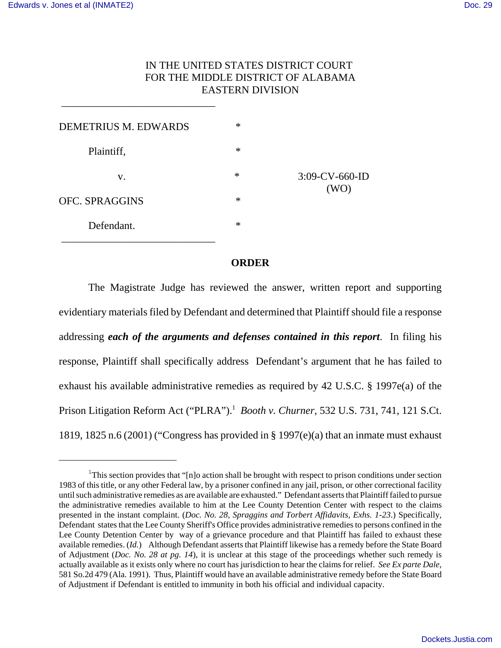\_\_\_\_\_\_\_\_\_\_\_\_\_\_\_\_\_\_\_\_\_\_\_\_\_\_\_\_\_

## IN THE UNITED STATES DISTRICT COURT FOR THE MIDDLE DISTRICT OF ALABAMA EASTERN DIVISION

| <b>DEMETRIUS M. EDWARDS</b> | $\ast$ |                           |
|-----------------------------|--------|---------------------------|
| Plaintiff,                  | $\ast$ | $3:09$ -CV-660-ID<br>(WO) |
| V.                          | $\ast$ |                           |
| <b>OFC. SPRAGGINS</b>       | $\ast$ |                           |
| Defendant.                  | $\ast$ |                           |

## **ORDER**

The Magistrate Judge has reviewed the answer, written report and supporting evidentiary materials filed by Defendant and determined that Plaintiff should file a response addressing *each of the arguments and defenses contained in this report*. In filing his response, Plaintiff shall specifically address Defendant's argument that he has failed to exhaust his available administrative remedies as required by 42 U.S.C. § 1997e(a) of the Prison Litigation Reform Act ("PLRA").1 *Booth v. Churner*, 532 U.S. 731, 741, 121 S.Ct. 1819, 1825 n.6 (2001) ("Congress has provided in § 1997(e)(a) that an inmate must exhaust

<sup>&</sup>lt;sup>1</sup>This section provides that "[n]o action shall be brought with respect to prison conditions under section 1983 of this title, or any other Federal law, by a prisoner confined in any jail, prison, or other correctional facility until such administrative remedies as are available are exhausted." Defendant asserts that Plaintiff failed to pursue the administrative remedies available to him at the Lee County Detention Center with respect to the claims presented in the instant complaint. (*Doc. No. 28, Spraggins and Torbert Affidavits, Exhs. 1-23*.) Specifically, Defendant states that the Lee County Sheriff's Office provides administrative remedies to persons confined in the Lee County Detention Center by way of a grievance procedure and that Plaintiff has failed to exhaust these available remedies. (*Id.*) Although Defendant asserts that Plaintiff likewise has a remedy before the State Board of Adjustment (*Doc. No. 28 at pg. 14*), it is unclear at this stage of the proceedings whether such remedy is actually available as it exists only where no court has jurisdiction to hear the claims for relief. *See Ex parte Dale*, 581 So.2d 479 (Ala. 1991). Thus, Plaintiff would have an available administrative remedy before the State Board of Adjustment if Defendant is entitled to immunity in both his official and individual capacity.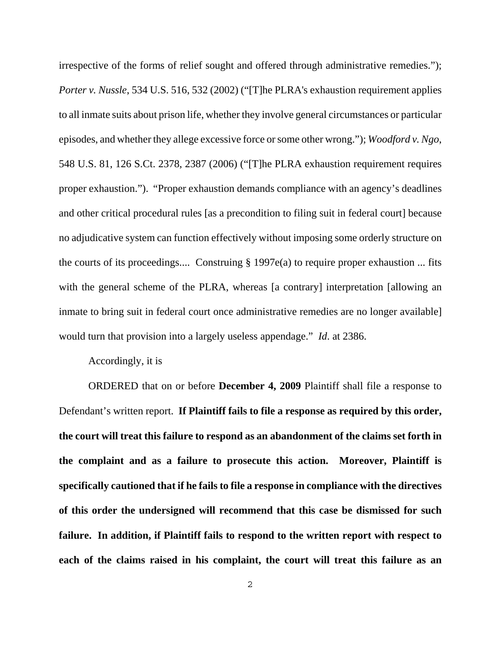irrespective of the forms of relief sought and offered through administrative remedies."); *Porter v. Nussle*, 534 U.S. 516, 532 (2002) ("[T]he PLRA's exhaustion requirement applies to all inmate suits about prison life, whether they involve general circumstances or particular episodes, and whether they allege excessive force or some other wrong."); *Woodford v. Ngo*, 548 U.S. 81, 126 S.Ct. 2378, 2387 (2006) ("[T]he PLRA exhaustion requirement requires proper exhaustion."). "Proper exhaustion demands compliance with an agency's deadlines and other critical procedural rules [as a precondition to filing suit in federal court] because no adjudicative system can function effectively without imposing some orderly structure on the courts of its proceedings.... Construing § 1997e(a) to require proper exhaustion ... fits with the general scheme of the PLRA, whereas [a contrary] interpretation [allowing an inmate to bring suit in federal court once administrative remedies are no longer available] would turn that provision into a largely useless appendage." *Id*. at 2386.

Accordingly, it is

ORDERED that on or before **December 4, 2009** Plaintiff shall file a response to Defendant's written report. **If Plaintiff fails to file a response as required by this order, the court will treat this failure to respond as an abandonment of the claims set forth in the complaint and as a failure to prosecute this action. Moreover, Plaintiff is specifically cautioned that if he fails to file a response in compliance with the directives of this order the undersigned will recommend that this case be dismissed for such failure. In addition, if Plaintiff fails to respond to the written report with respect to each of the claims raised in his complaint, the court will treat this failure as an**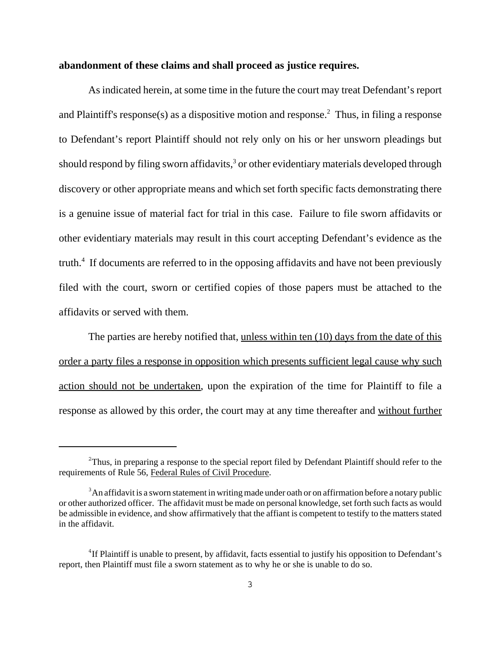## **abandonment of these claims and shall proceed as justice requires.**

As indicated herein, at some time in the future the court may treat Defendant's report and Plaintiff's response(s) as a dispositive motion and response.<sup>2</sup> Thus, in filing a response to Defendant's report Plaintiff should not rely only on his or her unsworn pleadings but should respond by filing sworn affidavits, $3$  or other evidentiary materials developed through discovery or other appropriate means and which set forth specific facts demonstrating there is a genuine issue of material fact for trial in this case. Failure to file sworn affidavits or other evidentiary materials may result in this court accepting Defendant's evidence as the truth.<sup>4</sup> If documents are referred to in the opposing affidavits and have not been previously filed with the court, sworn or certified copies of those papers must be attached to the affidavits or served with them.

The parties are hereby notified that, unless within ten (10) days from the date of this order a party files a response in opposition which presents sufficient legal cause why such action should not be undertaken, upon the expiration of the time for Plaintiff to file a response as allowed by this order, the court may at any time thereafter and without further

 $2$ Thus, in preparing a response to the special report filed by Defendant Plaintiff should refer to the requirements of Rule 56, Federal Rules of Civil Procedure.

<sup>&</sup>lt;sup>3</sup>An affidavit is a sworn statement in writing made under oath or on affirmation before a notary public or other authorized officer. The affidavit must be made on personal knowledge, set forth such facts as would be admissible in evidence, and show affirmatively that the affiant is competent to testify to the matters stated in the affidavit.

<sup>&</sup>lt;sup>4</sup>If Plaintiff is unable to present, by affidavit, facts essential to justify his opposition to Defendant's report, then Plaintiff must file a sworn statement as to why he or she is unable to do so.